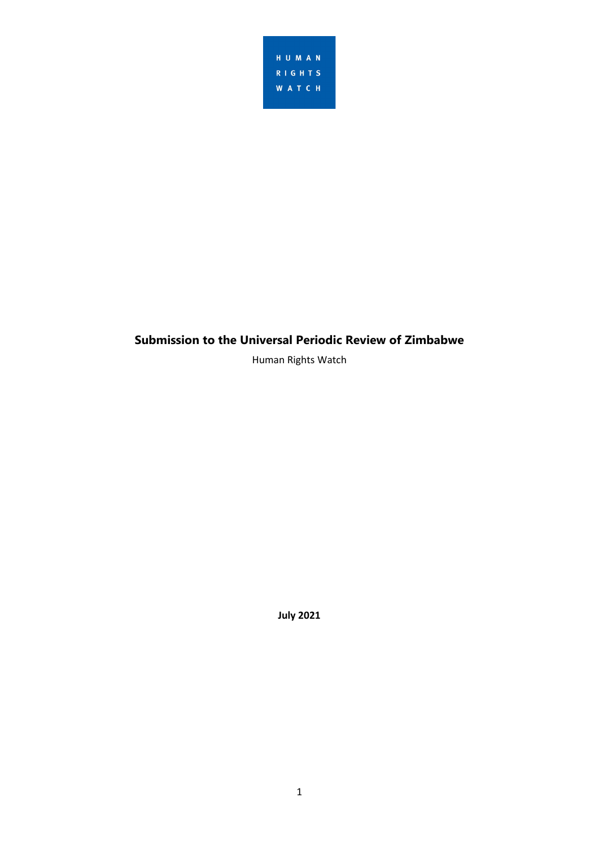

# **Submission to the Universal Periodic Review of Zimbabwe**

Human Rights Watch

**July 2021**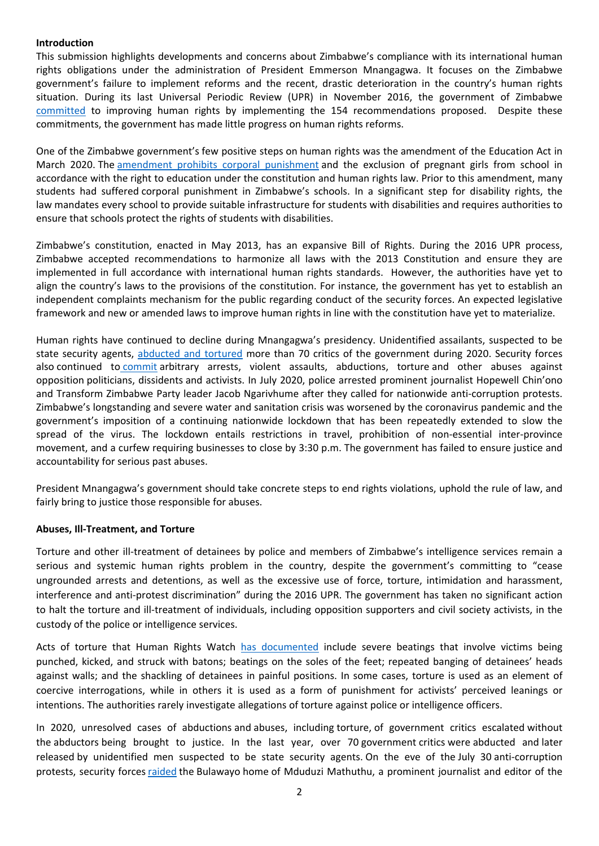### **Introduction**

This submission highlights developments and concerns about Zimbabwe'<sup>s</sup> compliance with its international human rights obligations under the administration of President Emmerson Mnangagwa. It focuses on the Zimbabwe government'<sup>s</sup> failure to implement reforms and the recent, drastic deterioration in the country'<sup>s</sup> human rights situation. During its last Universal Periodic Review (UPR) in November 2016, the government of Zimbabwe [committed](https://www.ohchr.org/EN/HRBodies/UPR/Pages/ZWindex.aspx) to improving human rights by implementing the 154 recommendations proposed. Despite these commitments, the government has made little progress on human rights reforms.

One of the Zimbabwe government'<sup>s</sup> few positive steps on human rights was the amendment of the Education Act in March 2020. The amendment prohibits corporal [punishment](https://zimfact.org/factsheet-corporal-punishment-pregnancy-and-the-new-education-bill/) and the exclusion of pregnant girls from school in accordance with the right to education under the constitution and human rights law. Prior to this amendment, many students had suffered corporal punishment in Zimbabwe'<sup>s</sup> schools. In <sup>a</sup> significant step for disability rights, the law mandates every school to provide suitable infrastructure for students with disabilities and requires authorities to ensure that schools protect the rights of students with disabilities.

Zimbabwe'<sup>s</sup> constitution, enacted in May 2013, has an expansive Bill of Rights. During the 2016 UPR process, Zimbabwe accepted recommendations to harmonize all laws with the 2013 Constitution and ensure they are implemented in full accordance with international human rights standards. However, the authorities have yet to align the country'<sup>s</sup> laws to the provisions of the constitution. For instance, the government has yet to establish an independent complaints mechanism for the public regarding conduct of the security forces. An expected legislative framework and new or amended laws to improve human rights in line with the constitution have yet to materialize.

Human rights have continued to decline during Mnangagwa'<sup>s</sup> presidency. Unidentified assailants, suspected to be state security agents, [abducted](https://www.hrw.org/world-report/2021/country-chapters/zimbabwe) and tortured more than 70 critics of the government during 2020. Security forces also continued to [commit](https://www.dw.com/en/activists-say-new-zimbabwe-resembles-robert-mugabes/a-50217756) arbitrary arrests, violent assaults, abductions, torture and other abuses against opposition politicians, dissidents and activists. In July 2020, police arrested prominent journalist Hopewell Chin'ono and Transform Zimbabwe Party leader Jacob Ngarivhume after they called for nationwide anti-corruption protests. Zimbabwe'<sup>s</sup> longstanding and severe water and sanitation crisis was worsened by the coronavirus pandemic and the government'<sup>s</sup> imposition of <sup>a</sup> continuing nationwide lockdown that has been repeatedly extended to slow the spread of the virus. The lockdown entails restrictions in travel, prohibition of non-essential inter-province movement, and <sup>a</sup> curfew requiring businesses to close by 3:30 p.m. The government has failed to ensure justice and accountability for serious past abuses.

President Mnangagwa'<sup>s</sup> government should take concrete steps to end rights violations, uphold the rule of law, and fairly bring to justice those responsible for abuses.

### **Abuses, Ill-Treatment, and Torture**

Torture and other ill-treatment of detainees by police and members of Zimbabwe'<sup>s</sup> intelligence services remain <sup>a</sup> serious and systemic human rights problem in the country, despite the government'<sup>s</sup> committing to "cease ungrounded arrests and detentions, as well as the excessive use of force, torture, intimidation and harassment, interference and anti-protest discrimination" during the 2016 UPR. The government has taken no significant action to halt the torture and ill-treatment of individuals, including opposition supporters and civil society activists, in the custody of the police or intelligence services.

Acts of torture that Human Rights Watch has [documented](https://www.hrw.org/news/2017/03/16/zimbabwe-should-investigate-allegations-torture) include severe beatings that involve victims being punched, kicked, and struck with batons; beatings on the soles of the feet; repeated banging of detainees' heads against walls; and the shackling of detainees in painful positions. In some cases, torture is used as an element of coercive interrogations, while in others it is used as <sup>a</sup> form of punishment for activists' perceived leanings or intentions. The authorities rarely investigate allegations of torture against police or intelligence officers.

In 2020, unresolved cases of abductions and abuses, including torture, of government critics escalated without the abductors being brought to justice. In the last year, over 70 government critics were abducted and later released by unidentified men suspected to be state security agents. On the eve of the July 30 anti-corruption protests, security forces [raided](https://www.zimlive.com/2020/08/02/missing-zimlive-editors-nephew-tortured-and-dumped/) the Bulawayo home of Mduduzi Mathuthu, a prominent journalist and editor of the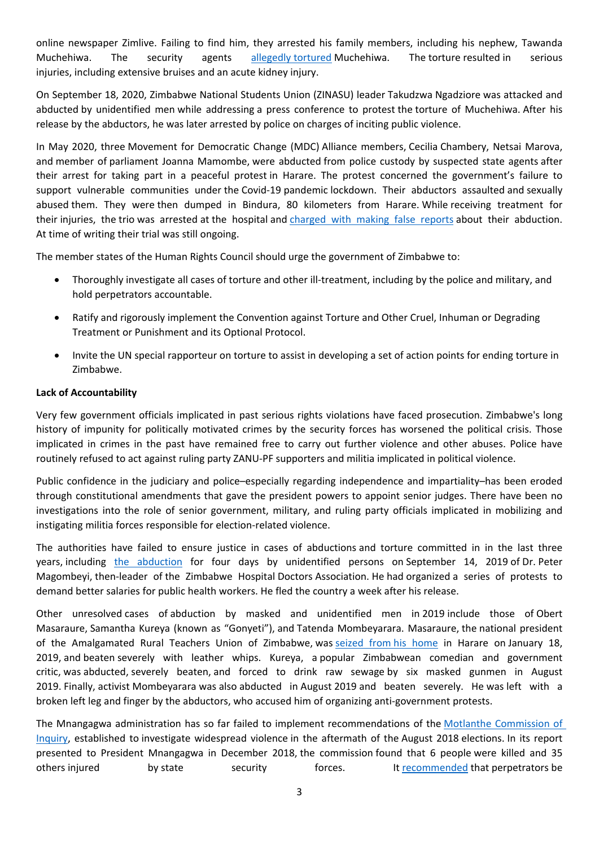online newspaper Zimlive. Failing to find him, they arrested his family members, including his nephew, Tawanda Muchehiwa. The security agents [allegedly](https://news.sky.com/story/zimbabwe-student-thought-he-was-going-to-die-after-abduction-by-state-security-services-12099212) tortured Muchehiwa. The torture resulted in serious injuries, including extensive bruises and an acute kidney injury.

On September 18, 2020, Zimbabwe National Students Union (ZINASU) leader Takudzwa Ngadziore was attacked and abducted by unidentified men while addressing <sup>a</sup> press conference to protest the torture of Muchehiwa. After his release by the abductors, he was later arrested by police on charges of inciting public violence.

In May 2020, three Movement for Democratic Change (MDC) Alliance members, Cecilia Chambery, Netsai Marova, and member of parliament Joanna Mamombe, were abducted from police custody by suspected state agents after their arrest for taking part in <sup>a</sup> peaceful protest in Harare. The protest concerned the government'<sup>s</sup> failure to support vulnerable communities under the Covid-19 pandemic lockdown. Their abductors assaulted and sexually abused them. They were then dumped in Bindura, 80 kilometers from Harare. While receiving treatment for their injuries, the trio was arrested at the hospital and [charged](https://www.bbc.co.uk/news/world-africa-53005447) with making false reports about their abduction. At time of writing their trial was still ongoing.

The member states of the Human Rights Council should urge the government of Zimbabwe to:

- c Thoroughly investigate all cases of torture and other ill-treatment, including by the police and military, and hold perpetrators accountable.
- $\bullet$  Ratify and rigorously implement the Convention against Torture and Other Cruel, Inhuman or Degrading Treatment or Punishment and its Optional Protocol.
- c Invite the UN special rapporteur on torture to assist in developing <sup>a</sup> set of action points for ending torture in Zimbabwe.

### **Lack of Accountability**

Very few government officials implicated in past serious rights violations have faced prosecution. Zimbabwe's long history of impunity for politically motivated crimes by the security forces has worsened the political crisis. Those implicated in crimes in the past have remained free to carry out further violence and other abuses. Police have routinely refused to act against ruling party ZANU-PF supporters and militia implicated in political violence.

Public confidence in the judiciary and police–especially regarding independence and impartiality–has been eroded through constitutional amendments that gave the president powers to appoint senior judges. There have been no investigations into the role of senior government, military, and ruling party officials implicated in mobilizing and instigating militia forces responsible for election-related violence.

The authorities have failed to ensure justice in cases of abductions and torture committed in in the last three years, including the [abduction](https://www.hrw.org/news/2019/09/18/outspoken-zimbabwe-doctor-abducted) for four days by unidentified persons on September 14, 2019 of Dr. Peter Magombeyi, then-leader of the Zimbabwe Hospital Doctors Association. He had organized <sup>a</sup> series of protests to demand better salaries for public health workers. He fled the country <sup>a</sup> week after his release.

Other unresolved cases of abduction by masked and unidentified men in 2019 include those of Obert Masaraure, Samantha Kureya (known as "Gonyeti"), and Tatenda Mombeyarara. Masaraure, the national president of the Amalgamated Rural Teachers Union of Zimbabwe, was [seized](https://www.africanews.com/2019/05/30/zimbabwe-7-detained-after-rights-meeting/) from his home in Harare on January 18, 2019, and beaten severely with leather whips. Kureya, <sup>a</sup> popular Zimbabwean comedian and government critic, was abducted, severely beaten, and forced to drink raw sewage by six masked gunmen in August 2019. Finally, activist Mombeyarara was also abducted in August 2019 and beaten severely. He was left with <sup>a</sup> broken left leg and finger by the abductors, who accused him of organizing anti-government protests.

The Mnangagwa administration has so far failed to implement recommendations of the Motlanthe [Commission](http://kubatana.net/2018/12/18/report-commission-inquiry-1-august-2018-post-election-violence/) of [Inquiry](http://kubatana.net/2018/12/18/report-commission-inquiry-1-august-2018-post-election-violence/), established to investigate widespread violence in the aftermath of the August 2018 elections. In its report presented to President Mnangagwa in December 2018, the commission found that 6 people were killed and 35 others injured by state security forces. It [recommended](http://kubatana.net/2018/12/18/report-commission-inquiry-1-august-2018-post-election-violence/) that perpetrators be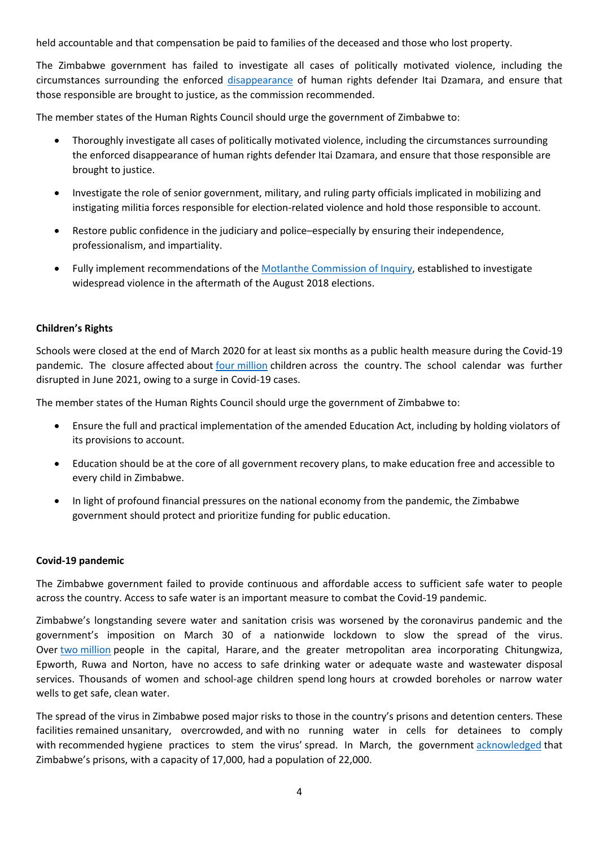held accountable and that compensation be paid to families of the deceased and those who lost property.

The Zimbabwe government has failed to investigate all cases of politically motivated violence, including the circumstances surrounding the enforced [disappearance](https://www.frontlinedefenders.org/en/case/abduction-human-rights-defender-mr-itai-dzamara) of human rights defender Itai Dzamara, and ensure that those responsible are brought to justice, as the commission recommended.

The member states of the Human Rights Council should urge the government of Zimbabwe to:

- e Thoroughly investigate all cases of politically motivated violence, including the circumstances surrounding the enforced disappearance of human rights defender Itai Dzamara, and ensure that those responsible are brought to justice.
- e Investigate the role of senior government, military, and ruling party officials implicated in mobilizing and instigating militia forces responsible for election-related violence and hold those responsible to account.
- e Restore public confidence in the judiciary and police–especially by ensuring their independence, professionalism, and impartiality.
- c Fully implement recommendations of the Motlanthe [Commission](http://kubatana.net/2018/12/18/report-commission-inquiry-1-august-2018-post-election-violence/) of Inquiry, established to investigate widespread violence in the aftermath of the August 2018 elections.

### **Children'<sup>s</sup> Rights**

Schools were closed at the end of March 2020 for at least six months as <sup>a</sup> public health measure during the Covid-19 pandemic. The closure affected about four [million](https://en.unesco.org/covid19/educationresponse) children across the country. The school calendar was further disrupted in June 2021, owing to <sup>a</sup> surge in Covid-19 cases.

The member states of the Human Rights Council should urge the government of Zimbabwe to:

- e Ensure the full and practical implementation of the amended Education Act, including by holding violators of its provisions to account.
- Education should be at the core of all government recovery plans, to make education free and accessible to every child in Zimbabwe.
- In light of profound financial pressures on the national economy from the pandemic, the Zimbabwe government should protect and prioritize funding for public education.

### **Covid-19 pandemic**

The Zimbabwe government failed to provide continuous and affordable access to sufficient safe water to people across the country. Access to safe water is an important measure to combat the Covid-19 pandemic.

Zimbabwe'<sup>s</sup> longstanding severe water and sanitation crisis was worsened by the coronavirus pandemic and the government'<sup>s</sup> imposition on March 30 of <sup>a</sup> nationwide lockdown to slow the spread of the virus. Over two [million](https://www.climatechangenews.com/2019/07/15/two-million-zimbabwes-capital-no-water-city-turns-off-taps/) people in the capital, Harare, and the greater metropolitan area incorporating Chitungwiza, Epworth, Ruwa and Norton, have no access to safe drinking water or adequate waste and wastewater disposal services. Thousands of women and school-age children spend long hours at crowded boreholes or narrow water wells to get safe, clean water.

The spread of the virus in Zimbabwe posed major risks to those in the country'<sup>s</sup> prisons and detention centers. These facilities remained unsanitary, overcrowded, and with no running water in cells for detainees to comply with recommended hygiene practices to stem the virus' spread. In March, the government [acknowledged](https://www.zbcnews.co.zw/six-thousand-prisoners-to-be-pardoned-via-amnesty/) that Zimbabwe'<sup>s</sup> prisons, with <sup>a</sup> capacity of 17,000, had <sup>a</sup> population of 22,000.